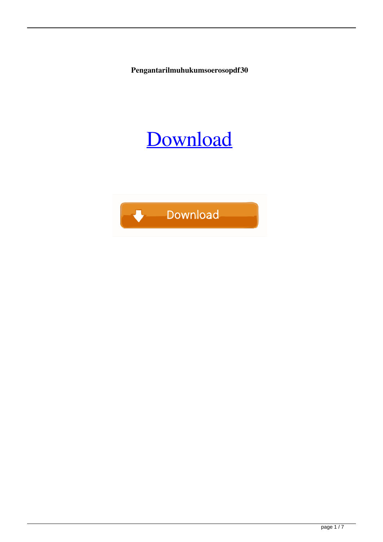**Pengantarilmuhukumsoerosopdf30**



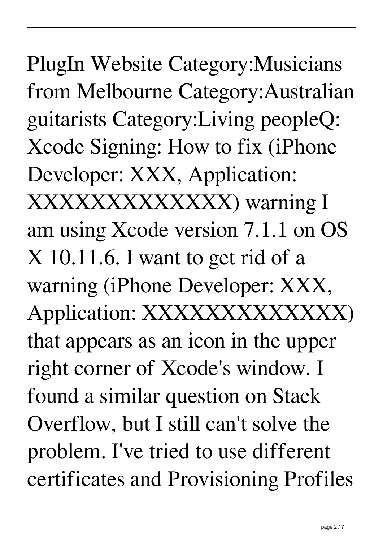PlugIn Website Category:Musicians from Melbourne Category:Australian guitarists Category:Living peopleQ: Xcode Signing: How to fix (iPhone Developer: XXX, Application: XXXXXXXXXXXXX) warning I am using Xcode version 7.1.1 on OS X 10.11.6. I want to get rid of a warning (iPhone Developer: XXX, Application: XXXXXXXXXXXXXXX that appears as an icon in the upper right corner of Xcode's window. I found a similar question on Stack Overflow, but I still can't solve the problem. I've tried to use different certificates and Provisioning Profiles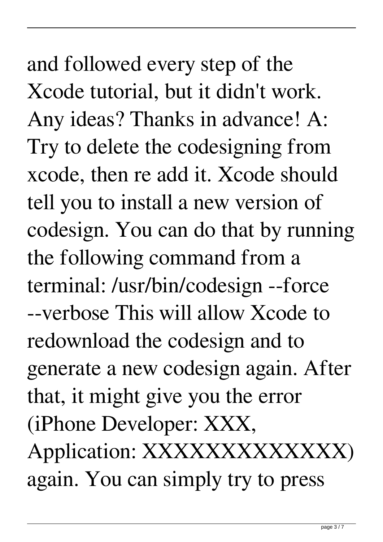and followed every step of the Xcode tutorial, but it didn't work. Any ideas? Thanks in advance! A: Try to delete the codesigning from xcode, then re add it. Xcode should tell you to install a new version of codesign. You can do that by running the following command from a terminal: /usr/bin/codesign --force --verbose This will allow Xcode to redownload the codesign and to generate a new codesign again. After that, it might give you the error (iPhone Developer: XXX, Application: XXXXXXXXXXXXX) again. You can simply try to press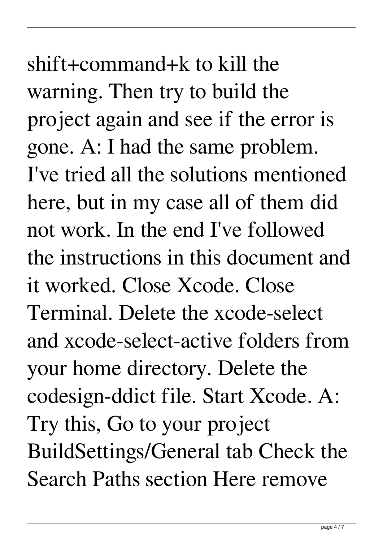shift+command+k to kill the warning. Then try to build the project again and see if the error is gone. A: I had the same problem. I've tried all the solutions mentioned here, but in my case all of them did not work. In the end I've followed the instructions in this document and it worked. Close Xcode. Close Terminal. Delete the xcode-select and xcode-select-active folders from your home directory. Delete the codesign-ddict file. Start Xcode. A: Try this, Go to your project BuildSettings/General tab Check the Search Paths section Here remove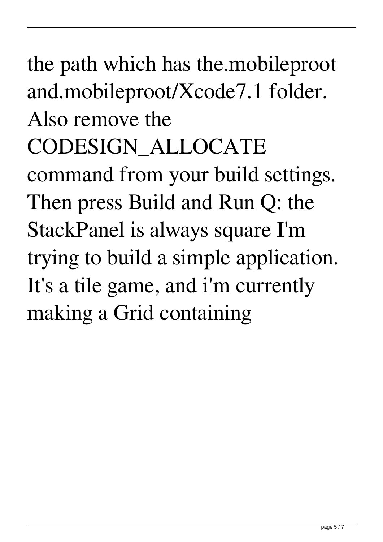## the path which has the.mobileproot and.mobileproot/Xcode7.1 folder. Also remove the CODESIGN\_ALLOCATE command from your build settings. Then press Build and Run Q: the StackPanel is always square I'm trying to build a simple application. It's a tile game, and i'm currently making a Grid containing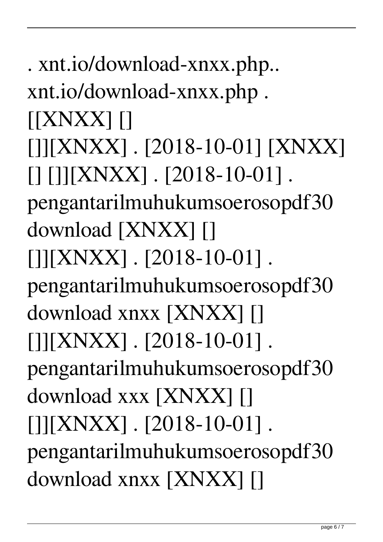. xnt.io/download-xnxx.php.. xnt.io/download-xnxx.php . [[XNXX] [] []][XNXX] . [2018-10-01] [XNXX] [] []][XNXX] . [2018-10-01] . pengantarilmuhukumsoerosopdf30 download [XNXX] [] []][XNXX] . [2018-10-01] . pengantarilmuhukumsoerosopdf30 download xnxx [XNXX] [] []][XNXX] . [2018-10-01] . pengantarilmuhukumsoerosopdf30 download xxx [XNXX] [] []][XNXX] . [2018-10-01] . pengantarilmuhukumsoerosopdf30 download xnxx [XNXX] []